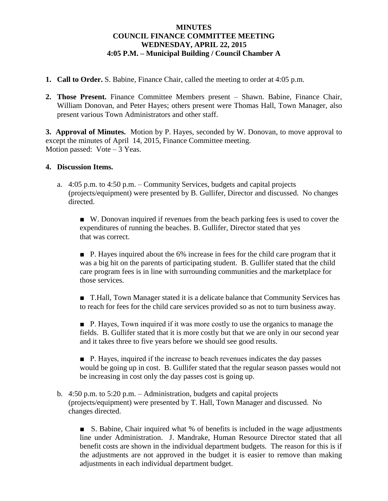## **MINUTES COUNCIL FINANCE COMMITTEE MEETING WEDNESDAY, APRIL 22, 2015 4:05 P.M. – Municipal Building / Council Chamber A**

- **1. Call to Order.** S. Babine, Finance Chair, called the meeting to order at 4:05 p.m.
- **2. Those Present.** Finance Committee Members present Shawn. Babine, Finance Chair, William Donovan, and Peter Hayes; others present were Thomas Hall, Town Manager, also present various Town Administrators and other staff.

**3. Approval of Minutes.** Motion by P. Hayes, seconded by W. Donovan, to move approval to except the minutes of April 14, 2015, Finance Committee meeting. Motion passed: Vote – 3 Yeas.

## **4. Discussion Items.**

a. 4:05 p.m. to 4:50 p.m. – Community Services, budgets and capital projects (projects/equipment) were presented by B. Gullifer, Director and discussed. No changes directed.

■ W. Donovan inquired if revenues from the beach parking fees is used to cover the expenditures of running the beaches. B. Gullifer, Director stated that yes that was correct.

■ P. Hayes inquired about the 6% increase in fees for the child care program that it was a big hit on the parents of participating student. B. Gullifer stated that the child care program fees is in line with surrounding communities and the marketplace for those services.

■ T.Hall, Town Manager stated it is a delicate balance that Community Services has to reach for fees for the child care services provided so as not to turn business away.

■ P. Hayes, Town inquired if it was more costly to use the organics to manage the fields. B. Gullifer stated that it is more costly but that we are only in our second year and it takes three to five years before we should see good results.

■ P. Hayes, inquired if the increase to beach revenues indicates the day passes would be going up in cost. B. Gullifer stated that the regular season passes would not be increasing in cost only the day passes cost is going up.

b. 4:50 p.m. to 5:20 p.m. – Administration, budgets and capital projects (projects/equipment) were presented by T. Hall, Town Manager and discussed. No changes directed.

■ S. Babine, Chair inquired what % of benefits is included in the wage adjustments line under Administration. J. Mandrake, Human Resource Director stated that all benefit costs are shown in the individual department budgets. The reason for this is if the adjustments are not approved in the budget it is easier to remove than making adjustments in each individual department budget.